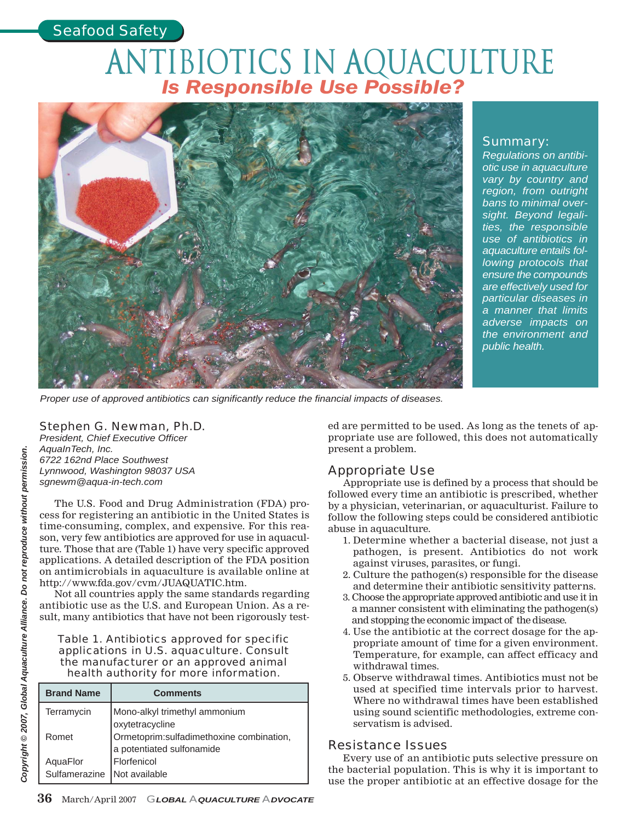## *Seafood Safety*

# Antibiotics in Aquaculture *Is Responsible Use Possible?*



*Proper use of approved antibiotics can significantly reduce the financial impacts of diseases.*

## Summary:

*Regulations on antibiotic use in aquaculture vary by country and region, from outright bans to minimal oversight. Beyond legalities, the responsible use of antibiotics in aquaculture entails following protocols that ensure the compounds are effectively used for particular diseases in a manner that limits adverse impacts on the environment and public health.*

## Stephen G. Newman, Ph.D.

*President, Chief Executive Officer AquaInTech, Inc. 6722 162nd Place Southwest Lynnwood, Washington 98037 USA sgnewm@aqua-in-tech.com*

The U.S. Food and Drug Administration (FDA) process for registering an antibiotic in the United States is time-consuming, complex, and expensive. For this reason, very few antibiotics are approved for use in aquaculture. Those that are (Table 1) have very specific approved applications. A detailed description of the FDA position on antimicrobials in aquaculture is available online at http://www.fda.gov/cvm/JUAQUATIC.htm.

Not all countries apply the same standards regarding antibiotic use as the U.S. and European Union. As a result, many antibiotics that have not been rigorously test-

#### Table 1. Antibiotics approved for specific applications in U.S. aquaculture. Consult the manufacturer or an approved animal health authority for more information.

| <b>Brand Name</b>         | <b>Comments</b>                          |
|---------------------------|------------------------------------------|
| Terramycin                | Mono-alkyl trimethyl ammonium            |
|                           | oxytetracycline                          |
| Romet                     | Ormetoprim:sulfadimethoxine combination, |
|                           | a potentiated sulfonamide                |
|                           | Florfenicol                              |
| AquaFlor<br>Sulfamerazine | Not available                            |

ed are permitted to be used. As long as the tenets of appropriate use are followed, this does not automatically present a problem.

## Appropriate Use

Appropriate use is defined by a process that should be followed every time an antibiotic is prescribed, whether by a physician, veterinarian, or aquaculturist. Failure to follow the following steps could be considered antibiotic abuse in aquaculture.

- 1. Determine whether a bacterial disease, not just a pathogen, is present. Antibiotics do not work against viruses, parasites, or fungi.
- 2. Culture the pathogen(s) responsible for the disease and determine their antibiotic sensitivity patterns.
- 3. Choose the appropriate approved antibiotic and use it in a manner consistent with eliminating the pathogen(s) and stopping the economic impact of the disease.
- 4. Use the antibiotic at the correct dosage for the appropriate amount of time for a given environment. Temperature, for example, can affect efficacy and withdrawal times.
- 5. Observe withdrawal times. Antibiotics must not be used at specified time intervals prior to harvest. Where no withdrawal times have been established using sound scientific methodologies, extreme conservatism is advised.

### Resistance Issues

Every use of an antibiotic puts selective pressure on the bacterial population. This is why it is important to use the proper antibiotic at an effective dosage for the